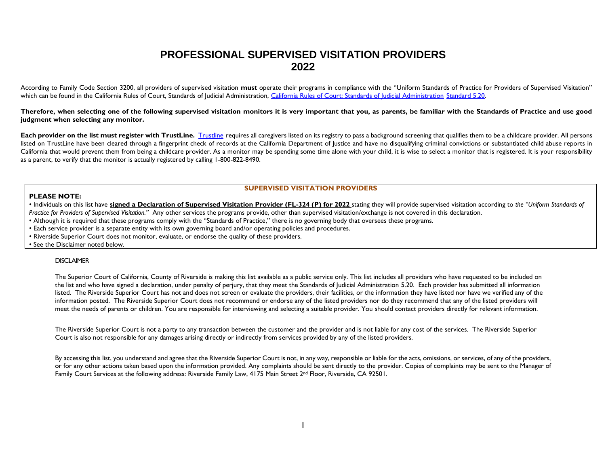## **PROFESSIONAL SUPERVISED VISITATION PROVIDERS 2022**

According to Family Code Section 3200, all providers of supervised visitation **must** operate their programs in compliance with the "Uniform Standards of Practice for Providers of Supervised Visitation" which can be found in the California Rules of Court, Standards of Judicial Administration, [California Rules of Court: Standards of Judicial Administration](https://www.courts.ca.gov/cms/rules/index.cfm?title=standards&linkid=standard5_20) [Standard 5.20.](http://www.courtinfo.ca.gov/cms/rules/index.cfm?title=standards&linkid=standard5_20)

**Therefore, when selecting one of the following supervised visitation monitors it is very important that you, as parents, be familiar with the Standards of Practice and use good judgment when selecting any monitor.**

Each provider on the list must register with TrustLine. [Trustline](http://trustline.org/) requires all caregivers listed on its registry to pass a background screening that qualifies them to be a childcare provider. All persons listed on TrustLine have been cleared through a fingerprint check of records at the California Department of Justice and have no disqualifying criminal convictions or substantiated child abuse reports in California that would prevent them from being a childcare provider. As a monitor may be spending some time alone with your child, it is wise to select a monitor that is registered. It is your responsibility as a parent, to verify that the monitor is actually registered by calling 1-800-822-8490.

## **SUPERVISED VISITATION PROVIDERS**

## **PLEASE NOTE:**

• Individuals on this list have **signed a Declaration of Supervised Visitation Provider (FL-324 (P) for 2022** stating they will provide supervised visitation according to *the "Uniform Standards of Practice for Providers of Supervised Visitation."* Any other services the programs provide, other than supervised visitation/exchange is not covered in this declaration.

- Although it is required that these programs comply with the "Standards of Practice," there is no governing body that oversees these programs.
- Each service provider is a separate entity with its own governing board and/or operating policies and procedures.
- Riverside Superior Court does not monitor, evaluate, or endorse the quality of these providers.
- See the Disclaimer noted below.

## **DISCLAIMER**

The Superior Court of California, County of Riverside is making this list available as a public service only. This list includes all providers who have requested to be included on the list and who have signed a declaration, under penalty of perjury, that they meet the Standards of Judicial Administration 5.20. Each provider has submitted all information listed. The Riverside Superior Court has not and does not screen or evaluate the providers, their facilities, or the information they have listed nor have we verified any of the information posted. The Riverside Superior Court does not recommend or endorse any of the listed providers nor do they recommend that any of the listed providers will meet the needs of parents or children. You are responsible for interviewing and selecting a suitable provider. You should contact providers directly for relevant information.

The Riverside Superior Court is not a party to any transaction between the customer and the provider and is not liable for any cost of the services. The Riverside Superior Court is also not responsible for any damages arising directly or indirectly from services provided by any of the listed providers.

By accessing this list, you understand and agree that the Riverside Superior Court is not, in any way, responsible or liable for the acts, omissions, or services, of any of the providers, or for any other actions taken based upon the information provided. Any complaints should be sent directly to the provider. Copies of complaints may be sent to the Manager of Family Court Services at the following address: Riverside Family Law, 4175 Main Street 2<sup>nd</sup> Floor, Riverside, CA 92501.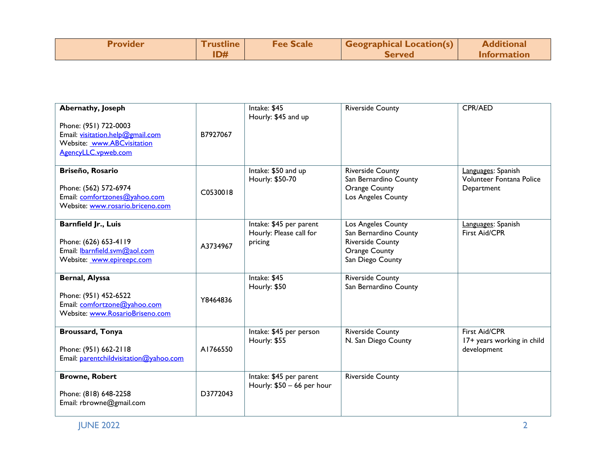| <b>Provider</b> | <u>I</u> rustline | <b>Fee Scale</b> | $\blacksquare$ Geographical Location(s) $\blacksquare$ | <b>Additional</b> |
|-----------------|-------------------|------------------|--------------------------------------------------------|-------------------|
|                 | <b>ID#</b>        |                  | <b>Served</b>                                          | Information       |

| Abernathy, Joseph<br>Phone: (951) 722-0003<br>Email: visitation.help@gmail.com<br>Website: www.ABCvisitation<br>AgencyLLC.vpweb.com | B7927067 | Intake: \$45<br>Hourly: \$45 and up                           | <b>Riverside County</b>                                                                                            | CPR/AED                                                      |
|-------------------------------------------------------------------------------------------------------------------------------------|----------|---------------------------------------------------------------|--------------------------------------------------------------------------------------------------------------------|--------------------------------------------------------------|
| Briseño, Rosario<br>Phone: (562) 572-6974<br>Email: comfortzones@yahoo.com<br>Website: www.rosario.briceno.com                      | C0530018 | Intake: \$50 and up<br>Hourly: \$50-70                        | <b>Riverside County</b><br>San Bernardino County<br><b>Orange County</b><br>Los Angeles County                     | Languages: Spanish<br>Volunteer Fontana Police<br>Department |
| Barnfield Jr., Luis<br>Phone: (626) 653-4119<br>Email: <b>Ibarnfield.svm@aol.com</b><br>Website: www.epireepc.com                   | A3734967 | Intake: \$45 per parent<br>Hourly: Please call for<br>pricing | Los Angeles County<br>San Bernardino County<br><b>Riverside County</b><br><b>Orange County</b><br>San Diego County | Languages: Spanish<br>First Aid/CPR                          |
| Bernal, Alyssa<br>Phone: (951) 452-6522<br>Email: comfortzone@yahoo.com<br>Website: www.RosarioBriseno.com                          | Y8464836 | Intake: \$45<br>Hourly: \$50                                  | <b>Riverside County</b><br>San Bernardino County                                                                   |                                                              |
| <b>Broussard, Tonya</b><br>Phone: (951) 662-2118<br>Email: parentchildvisitation@yahoo.com                                          | A1766550 | Intake: \$45 per person<br>Hourly: \$55                       | <b>Riverside County</b><br>N. San Diego County                                                                     | First Aid/CPR<br>17+ years working in child<br>development   |
| <b>Browne, Robert</b><br>Phone: (818) 648-2258<br>Email: rbrowne@gmail.com                                                          | D3772043 | Intake: \$45 per parent<br>Hourly: $$50 - 66$ per hour        | Riverside County                                                                                                   |                                                              |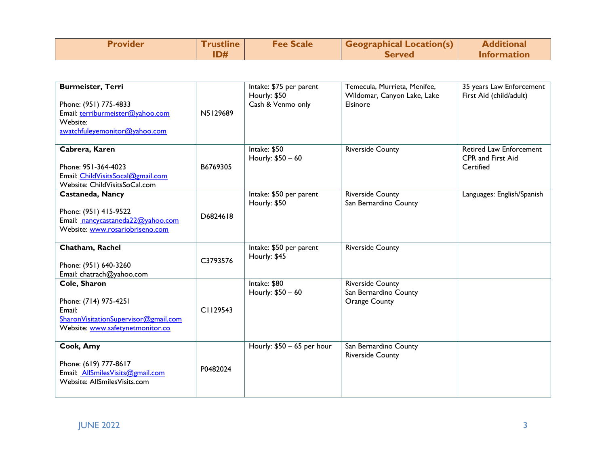| <b>Provider</b> | <b>Trustline</b> | <b>Fee Scale</b> | <b>Geographical Location(s)</b> | <b>Additional</b>  |
|-----------------|------------------|------------------|---------------------------------|--------------------|
|                 |                  |                  | <b>Served</b>                   | <b>Information</b> |

| <b>Burmeister, Terri</b><br>Phone: (951) 775-4833<br>Email: terriburmeister@yahoo.com<br>Website:<br>awatchfuleyemonitor@yahoo.com | N5129689 | Intake: \$75 per parent<br>Hourly: \$50<br>Cash & Venmo only | Temecula, Murrieta, Menifee,<br>Wildomar, Canyon Lake, Lake<br>Elsinore  | 35 years Law Enforcement<br>First Aid (child/adult)       |
|------------------------------------------------------------------------------------------------------------------------------------|----------|--------------------------------------------------------------|--------------------------------------------------------------------------|-----------------------------------------------------------|
| Cabrera, Karen<br>Phone: 951-364-4023<br>Email: ChildVisitsSocal@gmail.com<br>Website: ChildVisitsSoCal.com                        | B6769305 | Intake: \$50<br>Hourly: \$50 - 60                            | <b>Riverside County</b>                                                  | Retired Law Enforcement<br>CPR and First Aid<br>Certified |
| Castaneda, Nancy<br>Phone: (951) 415-9522<br>Email: nancycastaneda22@yahoo.com<br>Website: www.rosariobriseno.com                  | D6824618 | Intake: \$50 per parent<br>Hourly: \$50                      | <b>Riverside County</b><br>San Bernardino County                         | Languages: English/Spanish                                |
| Chatham, Rachel<br>Phone: (951) 640-3260<br>Email: chatrach@yahoo.com                                                              | C3793576 | Intake: \$50 per parent<br>Hourly: \$45                      | <b>Riverside County</b>                                                  |                                                           |
| Cole, Sharon<br>Phone: (714) 975-4251<br>Email:<br>SharonVisitationSupervisor@gmail.com<br>Website: www.safetynetmonitor.co        | C1129543 | Intake: \$80<br>Hourly: \$50 - 60                            | <b>Riverside County</b><br>San Bernardino County<br><b>Orange County</b> |                                                           |
| Cook, Amy<br>Phone: (619) 777-8617<br>Email: AllSmilesVisits@gmail.com<br>Website: AllSmilesVisits.com                             | P0482024 | Hourly: $$50 - 65$ per hour                                  | San Bernardino County<br><b>Riverside County</b>                         |                                                           |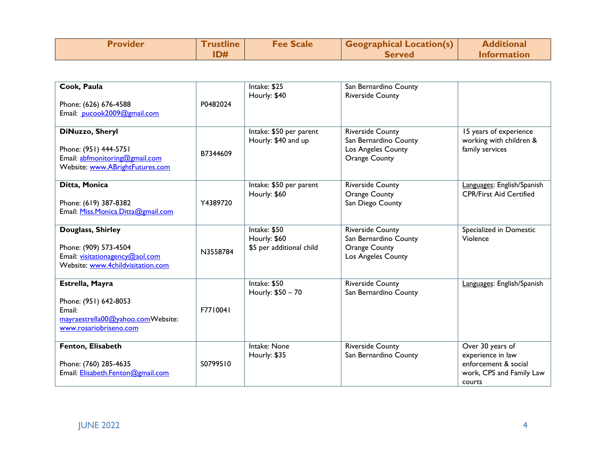| <b>Provider</b> | <u>I rustline</u> | <b>Fee Scale</b> | <b>Geographical Location(s)</b> | <b>Additional</b>  |
|-----------------|-------------------|------------------|---------------------------------|--------------------|
|                 | ID#               |                  | <b>Served</b>                   | <b>Information</b> |

| Cook, Paula                                                                                                        |          | Intake: \$25<br>Hourly: \$40                             | San Bernardino County<br><b>Riverside County</b>                                               |                                                                                                     |
|--------------------------------------------------------------------------------------------------------------------|----------|----------------------------------------------------------|------------------------------------------------------------------------------------------------|-----------------------------------------------------------------------------------------------------|
| Phone: (626) 676-4588<br>Email: pucook2009@gmail.com                                                               | P0482024 |                                                          |                                                                                                |                                                                                                     |
| DiNuzzo, Sheryl<br>Phone: (951) 444-5751<br>Email: abfmonitoring@gmail.com<br>Website: www.ABrightFutures.com      | B7344609 | Intake: \$50 per parent<br>Hourly: \$40 and up           | <b>Riverside County</b><br>San Bernardino County<br>Los Angeles County<br><b>Orange County</b> | 15 years of experience<br>working with children &<br>family services                                |
| Ditta, Monica<br>Phone: (619) 387-8382<br>Email: Miss.Monica.Ditta@gmail.com                                       | Y4389720 | Intake: \$50 per parent<br>Hourly: \$60                  | <b>Riverside County</b><br><b>Orange County</b><br>San Diego County                            | Languages: English/Spanish<br><b>CPR/First Aid Certified</b>                                        |
| Douglass, Shirley<br>Phone: (909) 573-4504<br>Email: visitationagency@aol.com<br>Website: www.4childvisitation.com | N3558784 | Intake: \$50<br>Hourly: \$60<br>\$5 per additional child | <b>Riverside County</b><br>San Bernardino County<br><b>Orange County</b><br>Los Angeles County | Specialized in Domestic<br>Violence                                                                 |
| Estrella, Mayra<br>Phone: (951) 642-8053<br>Email:<br>mayraestrella00@yahoo.comWebsite:<br>www.rosariobriseno.com  | F7710041 | Intake: \$50<br>Hourly: \$50 - 70                        | <b>Riverside County</b><br>San Bernardino County                                               | Languages: English/Spanish                                                                          |
| Fenton, Elisabeth<br>Phone: (760) 285-4635<br>Email: Elisabeth.Fenton@gmail.com                                    | S0799510 | Intake: None<br>Hourly: \$35                             | <b>Riverside County</b><br>San Bernardino County                                               | Over 30 years of<br>experience in law<br>enforcement & social<br>work, CPS and Family Law<br>courts |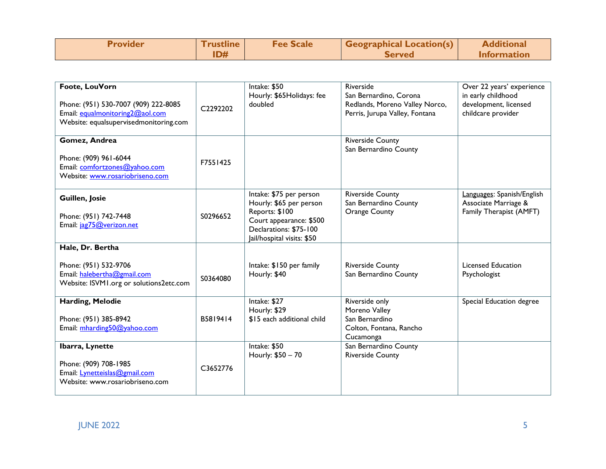| <b>Provider</b> | <b>Trustline</b> | <b>Fee Scale</b> | Geographical Location(s) | <b>Additional</b> |
|-----------------|------------------|------------------|--------------------------|-------------------|
|                 |                  |                  | <b>Served</b>            | Information       |

| Foote, LouVorn<br>Phone: (951) 530-7007 (909) 222-8085<br>Email: equalmonitoring2@aol.com<br>Website: equalsupervisedmonitoring.com | C2292202 | Intake: \$50<br>Hourly: \$65Holidays: fee<br>doubled                                                                                                    | Riverside<br>San Bernardino, Corona<br>Redlands, Moreno Valley Norco,<br>Perris, Jurupa Valley, Fontana | Over 22 years' experience<br>in early childhood<br>development, licensed<br>childcare provider |
|-------------------------------------------------------------------------------------------------------------------------------------|----------|---------------------------------------------------------------------------------------------------------------------------------------------------------|---------------------------------------------------------------------------------------------------------|------------------------------------------------------------------------------------------------|
| Gomez, Andrea<br>Phone: (909) 961-6044<br>Email: comfortzones@yahoo.com<br>Website: www.rosariobriseno.com                          | F7551425 |                                                                                                                                                         | <b>Riverside County</b><br>San Bernardino County                                                        |                                                                                                |
| Guillen, Josie<br>Phone: (951) 742-7448<br>Email: jag75@verizon.net                                                                 | S0296652 | Intake: \$75 per person<br>Hourly: \$65 per person<br>Reports: \$100<br>Court appearance: \$500<br>Declarations: \$75-100<br>Jail/hospital visits: \$50 | <b>Riverside County</b><br>San Bernardino County<br><b>Orange County</b>                                | Languages: Spanish/English<br>Associate Marriage &<br>Family Therapist (AMFT)                  |
| Hale, Dr. Bertha                                                                                                                    |          |                                                                                                                                                         |                                                                                                         |                                                                                                |
| Phone: (951) 532-9706<br>Email: halebertha@gmail.com<br>Website: ISVM1.org or solutions2etc.com                                     | S0364080 | Intake: \$150 per family<br>Hourly: \$40                                                                                                                | <b>Riverside County</b><br>San Bernardino County                                                        | <b>Licensed Education</b><br>Psychologist                                                      |
| Harding, Melodie<br>Phone: (951) 385-8942<br>Email: mharding50@yahoo.com                                                            | B5819414 | Intake: \$27<br>Hourly: \$29<br>\$15 each additional child                                                                                              | Riverside only<br>Moreno Valley<br>San Bernardino<br>Colton, Fontana, Rancho<br>Cucamonga               | Special Education degree                                                                       |
| Ibarra, Lynette<br>Phone: (909) 708-1985<br>Email: Lynetteislas@gmail.com<br>Website: www.rosariobriseno.com                        | C3652776 | Intake: \$50<br>Hourly: \$50 - 70                                                                                                                       | San Bernardino County<br><b>Riverside County</b>                                                        |                                                                                                |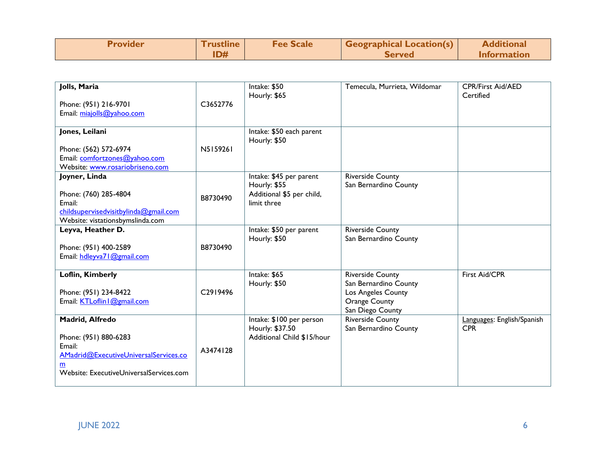| <b>Provider</b> | <u>I</u> rustline | <b>Fee Scale</b> | <b>Geographical Location(s)</b> | <b>Additional</b>  |
|-----------------|-------------------|------------------|---------------------------------|--------------------|
|                 | ID#               |                  | <b>Served</b>                   | <b>Information</b> |

| Jolls, Maria<br>Phone: (951) 216-9701<br>Email: miajolls@yahoo.com                                                                          | C3652776 | Intake: \$50<br>Hourly: \$65                                                        | Temecula, Murrieta, Wildomar                                                                                       | <b>CPR/First Aid/AED</b><br>Certified    |
|---------------------------------------------------------------------------------------------------------------------------------------------|----------|-------------------------------------------------------------------------------------|--------------------------------------------------------------------------------------------------------------------|------------------------------------------|
| Jones, Leilani<br>Phone: (562) 572-6974<br>Email: comfortzones@yahoo.com<br>Website: www.rosariobriseno.com                                 | N5159261 | Intake: \$50 each parent<br>Hourly: \$50                                            |                                                                                                                    |                                          |
| Joyner, Linda<br>Phone: (760) 285-4804<br>Email:<br>childsupervisedvisitbylinda@gmail.com<br>Website: vistationsbymslinda.com               | B8730490 | Intake: \$45 per parent<br>Hourly: \$55<br>Additional \$5 per child,<br>limit three | <b>Riverside County</b><br>San Bernardino County                                                                   |                                          |
| Leyva, Heather D.<br>Phone: (951) 400-2589<br>Email: hdleyva71@gmail.com                                                                    | B8730490 | Intake: \$50 per parent<br>Hourly: \$50                                             | <b>Riverside County</b><br>San Bernardino County                                                                   |                                          |
| Loflin, Kimberly<br>Phone: (951) 234-8422<br>Email: KTLoflin   @gmail.com                                                                   | C2919496 | Intake: \$65<br>Hourly: \$50                                                        | <b>Riverside County</b><br>San Bernardino County<br>Los Angeles County<br><b>Orange County</b><br>San Diego County | First Aid/CPR                            |
| Madrid, Alfredo<br>Phone: (951) 880-6283<br>Email:<br>AMadrid@ExecutiveUniversalServices.co<br>m<br>Website: ExecutiveUniversalServices.com | A3474128 | Intake: \$100 per person<br>Hourly: \$37.50<br>Additional Child \$15/hour           | <b>Riverside County</b><br>San Bernardino County                                                                   | Languages: English/Spanish<br><b>CPR</b> |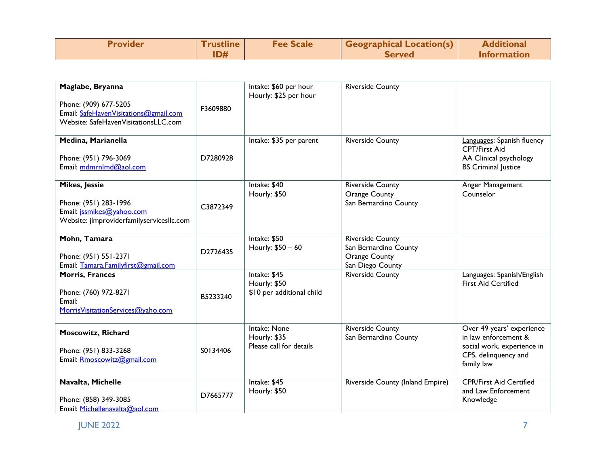| <b>Provider</b> | rustline | <b>Fee Scale</b> | Geographical Location(s) | <b>Additional</b>  |
|-----------------|----------|------------------|--------------------------|--------------------|
|                 |          |                  | <b>Served</b>            | <b>Information</b> |

| Maglabe, Bryanna<br>Phone: (909) 677-5205<br>Email: SafeHavenVisitations@gmail.com<br>Website: SafeHavenVisitationsLLC.com | F3609880 | Intake: \$60 per hour<br>Hourly: \$25 per hour            | <b>Riverside County</b>                                                                      |                                                                                                                       |
|----------------------------------------------------------------------------------------------------------------------------|----------|-----------------------------------------------------------|----------------------------------------------------------------------------------------------|-----------------------------------------------------------------------------------------------------------------------|
| Medina, Marianella<br>Phone: (951) 796-3069<br>Email: mdmrnlmd@aol.com                                                     | D7280928 | Intake: \$35 per parent                                   | <b>Riverside County</b>                                                                      | Languages: Spanish fluency<br>CPT/First Aid<br>AA Clinical psychology<br><b>BS</b> Criminal Justice                   |
| <b>Mikes, Jessie</b><br>Phone: (951) 283-1996<br>Email: jssmikes@yahoo.com<br>Website: jlmproviderfamilyservicesllc.com    | C3872349 | Intake: \$40<br>Hourly: \$50                              | <b>Riverside County</b><br><b>Orange County</b><br>San Bernardino County                     | Anger Management<br>Counselor                                                                                         |
| Mohn, Tamara<br>Phone: (951) 551-2371<br>Email: Tamara.Familyfirst@gmail.com                                               | D2726435 | Intake: \$50<br>Hourly: \$50 - 60                         | <b>Riverside County</b><br>San Bernardino County<br><b>Orange County</b><br>San Diego County |                                                                                                                       |
| <b>Morris, Frances</b><br>Phone: (760) 972-8271<br>Email:<br>MorrisVisitationServices@yaho.com                             | B5233240 | Intake: \$45<br>Hourly: \$50<br>\$10 per additional child | <b>Riverside County</b>                                                                      | Languages: Spanish/English<br><b>First Aid Certified</b>                                                              |
| <b>Moscowitz, Richard</b><br>Phone: (951) 833-3268<br>Email: Rmoscowitz@gmail.com                                          | S0134406 | Intake: None<br>Hourly: \$35<br>Please call for details   | <b>Riverside County</b><br>San Bernardino County                                             | Over 49 years' experience<br>in law enforcement &<br>social work, experience in<br>CPS, delinquency and<br>family law |
| Navalta, Michelle<br>Phone: (858) 349-3085<br>Email: Michellenavalta@aol.com                                               | D7665777 | Intake: \$45<br>Hourly: \$50                              | Riverside County (Inland Empire)                                                             | <b>CPR/First Aid Certified</b><br>and Law Enforcement<br>Knowledge                                                    |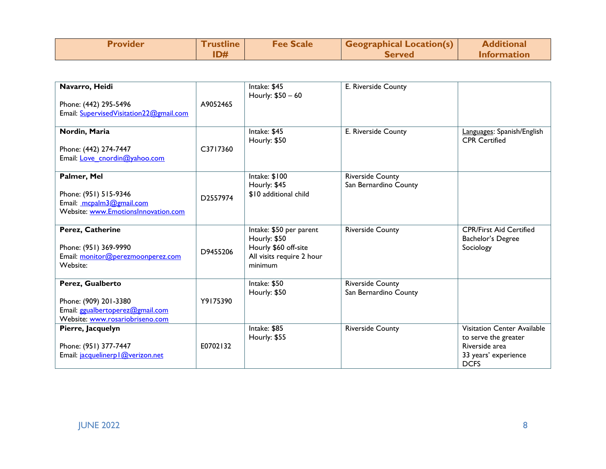| <b>Provider</b> | l rustline | <b>Fee Scale</b> | Geographical Location(s) | <b>Additional</b>  |
|-----------------|------------|------------------|--------------------------|--------------------|
|                 | ID#        |                  | <b>Served</b>            | <b>Information</b> |

|          |                                                          |                                                                                                                                                                                                                                                                                                        | Languages: Spanish/English                                                                                                                                                                        |
|----------|----------------------------------------------------------|--------------------------------------------------------------------------------------------------------------------------------------------------------------------------------------------------------------------------------------------------------------------------------------------------------|---------------------------------------------------------------------------------------------------------------------------------------------------------------------------------------------------|
|          |                                                          |                                                                                                                                                                                                                                                                                                        | <b>CPR</b> Certified                                                                                                                                                                              |
|          |                                                          |                                                                                                                                                                                                                                                                                                        |                                                                                                                                                                                                   |
|          |                                                          |                                                                                                                                                                                                                                                                                                        |                                                                                                                                                                                                   |
|          |                                                          |                                                                                                                                                                                                                                                                                                        |                                                                                                                                                                                                   |
|          |                                                          |                                                                                                                                                                                                                                                                                                        |                                                                                                                                                                                                   |
|          |                                                          |                                                                                                                                                                                                                                                                                                        |                                                                                                                                                                                                   |
|          |                                                          |                                                                                                                                                                                                                                                                                                        |                                                                                                                                                                                                   |
|          |                                                          |                                                                                                                                                                                                                                                                                                        |                                                                                                                                                                                                   |
|          |                                                          |                                                                                                                                                                                                                                                                                                        |                                                                                                                                                                                                   |
|          |                                                          |                                                                                                                                                                                                                                                                                                        |                                                                                                                                                                                                   |
|          |                                                          |                                                                                                                                                                                                                                                                                                        |                                                                                                                                                                                                   |
|          |                                                          |                                                                                                                                                                                                                                                                                                        | <b>CPR/First Aid Certified</b>                                                                                                                                                                    |
|          |                                                          |                                                                                                                                                                                                                                                                                                        | Bachelor's Degree                                                                                                                                                                                 |
|          |                                                          |                                                                                                                                                                                                                                                                                                        | Sociology                                                                                                                                                                                         |
|          |                                                          |                                                                                                                                                                                                                                                                                                        |                                                                                                                                                                                                   |
|          |                                                          |                                                                                                                                                                                                                                                                                                        |                                                                                                                                                                                                   |
|          |                                                          |                                                                                                                                                                                                                                                                                                        |                                                                                                                                                                                                   |
|          |                                                          |                                                                                                                                                                                                                                                                                                        |                                                                                                                                                                                                   |
|          |                                                          |                                                                                                                                                                                                                                                                                                        |                                                                                                                                                                                                   |
|          |                                                          |                                                                                                                                                                                                                                                                                                        |                                                                                                                                                                                                   |
|          |                                                          |                                                                                                                                                                                                                                                                                                        |                                                                                                                                                                                                   |
|          |                                                          |                                                                                                                                                                                                                                                                                                        |                                                                                                                                                                                                   |
|          |                                                          |                                                                                                                                                                                                                                                                                                        |                                                                                                                                                                                                   |
|          |                                                          |                                                                                                                                                                                                                                                                                                        | Visitation Center Available                                                                                                                                                                       |
|          |                                                          |                                                                                                                                                                                                                                                                                                        | to serve the greater                                                                                                                                                                              |
| E0702132 |                                                          |                                                                                                                                                                                                                                                                                                        | Riverside area                                                                                                                                                                                    |
|          |                                                          |                                                                                                                                                                                                                                                                                                        | 33 years' experience                                                                                                                                                                              |
|          |                                                          |                                                                                                                                                                                                                                                                                                        | <b>DCFS</b>                                                                                                                                                                                       |
|          | A9052465<br>C3717360<br>D2557974<br>D9455206<br>Y9175390 | Intake: \$45<br>Hourly: \$50 - 60<br>Intake: \$45<br>Hourly: \$50<br>Intake: \$100<br>Hourly: \$45<br>\$10 additional child<br>Intake: \$50 per parent<br>Hourly: \$50<br>Hourly \$60 off-site<br>All visits require 2 hour<br>minimum<br>Intake: \$50<br>Hourly: \$50<br>Intake: \$85<br>Hourly: \$55 | E. Riverside County<br>E. Riverside County<br><b>Riverside County</b><br>San Bernardino County<br><b>Riverside County</b><br>Riverside County<br>San Bernardino County<br><b>Riverside County</b> |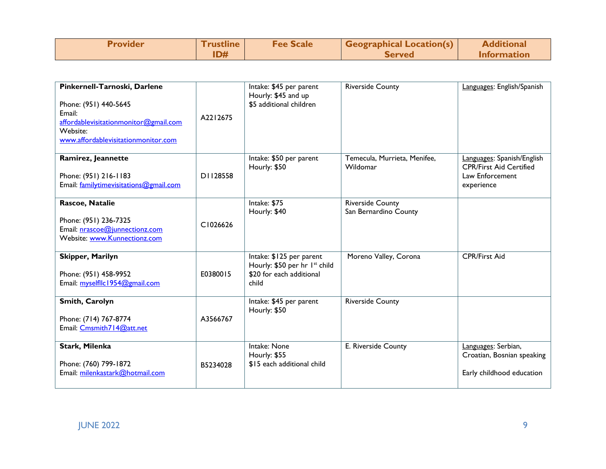| <b>Provider</b> | <u>I rustline</u> | <b>Fee Scale</b> | <b>Geographical Location(s)</b> | <b>Additional</b>  |
|-----------------|-------------------|------------------|---------------------------------|--------------------|
|                 |                   |                  | Served                          | <b>Information</b> |

| Pinkernell-Tarnoski, Darlene<br>Phone: (951) 440-5645<br>Email:<br>affordablevisitationmonitor@gmail.com<br>Website:<br>www.affordablevisitationmonitor.com | A2212675 | Intake: \$45 per parent<br>Hourly: \$45 and up<br>\$5 additional children                      | <b>Riverside County</b>                          | Languages: English/Spanish                                                                    |
|-------------------------------------------------------------------------------------------------------------------------------------------------------------|----------|------------------------------------------------------------------------------------------------|--------------------------------------------------|-----------------------------------------------------------------------------------------------|
| Ramirez, Jeannette<br>Phone: (951) 216-1183<br>Email: familytimevisitations@gmail.com                                                                       | D1128558 | Intake: \$50 per parent<br>Hourly: \$50                                                        | Temecula, Murrieta, Menifee,<br>Wildomar         | Languages: Spanish/English<br><b>CPR/First Aid Certified</b><br>Law Enforcement<br>experience |
| Rascoe, Natalie<br>Phone: (951) 236-7325<br>Email: nrascoe@junnectionz.com<br>Website: www.Kunnectionz.com                                                  | C1026626 | Intake: \$75<br>Hourly: \$40                                                                   | <b>Riverside County</b><br>San Bernardino County |                                                                                               |
| Skipper, Marilyn<br>Phone: (951) 458-9952<br>Email: myselfllc1954@gmail.com                                                                                 | E0380015 | Intake: \$125 per parent<br>Hourly: \$50 per hr Ist child<br>\$20 for each additional<br>child | Moreno Valley, Corona                            | <b>CPR/First Aid</b>                                                                          |
| Smith, Carolyn<br>Phone: (714) 767-8774<br>Email: Cmsmith714@att.net                                                                                        | A3566767 | Intake: \$45 per parent<br>Hourly: \$50                                                        | <b>Riverside County</b>                          |                                                                                               |
| Stark, Milenka<br>Phone: (760) 799-1872<br>Email: milenkastark@hotmail.com                                                                                  | B5234028 | Intake: None<br>Hourly: \$55<br>\$15 each additional child                                     | E. Riverside County                              | Languages: Serbian,<br>Croatian, Bosnian speaking<br>Early childhood education                |